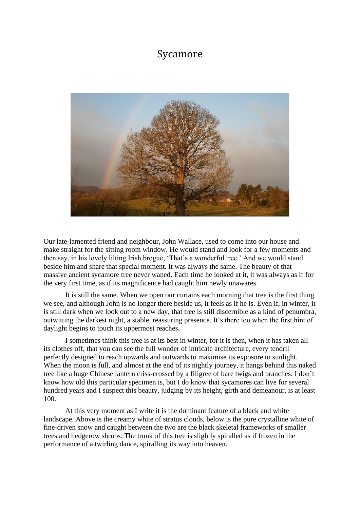## Sycamore



Our late-lamented friend and neighbour, John Wallace, used to come into our house and make straight for the sitting room window. He would stand and look for a few moments and then say, in his lovely lilting Irish brogue, 'That's a wonderful tree.' And we would stand beside him and share that special moment. It was always the same. The beauty of that massive ancient sycamore tree never waned. Each time he looked at it, it was always as if for the very first time, as if its magnificence had caught him newly unawares.

It is still the same. When we open our curtains each morning that tree is the first thing we see, and although John is no longer there beside us, it feels as if he is. Even if, in winter, it is still dark when we look out to a new day, that tree is still discernible as a kind of penumbra, outwitting the darkest night, a stable, reassuring presence. It's there too when the first hint of daylight begins to touch its uppermost reaches.

I sometimes think this tree is at its best in winter, for it is then, when it has taken all its clothes off, that you can see the full wonder of intricate architecture, every tendril perfectly designed to reach upwards and outwards to maximise its exposure to sunlight. When the moon is full, and almost at the end of its nightly journey, it hangs behind this naked tree like a huge Chinese lantern criss-crossed by a filigree of bare twigs and branches. I don't know how old this particular specimen is, but I do know that sycamores can live for several hundred years and I suspect this beauty, judging by its height, girth and demeanour, is at least 100.

At this very moment as I write it is the dominant feature of a black and white landscape. Above is the creamy white of stratus clouds, below is the pure crystalline white of fine-driven snow and caught between the two are the black skeletal frameworks of smaller trees and hedgerow shrubs. The trunk of this tree is slightly spiralled as if frozen in the performance of a twirling dance, spiralling its way into heaven.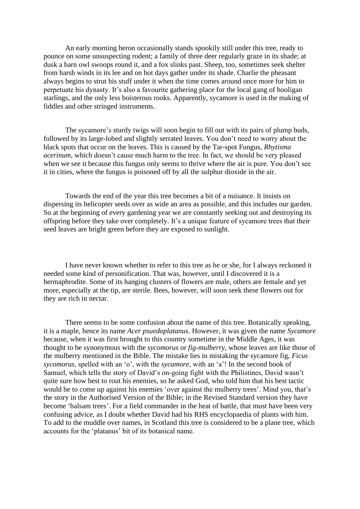An early morning heron occasionally stands spookily still under this tree, ready to pounce on some unsuspecting rodent; a family of three deer regularly graze in its shade; at dusk a barn owl swoops round it, and a fox slinks past. Sheep, too, sometimes seek shelter from harsh winds in its lee and on hot days gather under its shade. Charlie the pheasant always begins to strut his stuff under it when the time comes around once more for him to perpetuate his dynasty. It's also a favourite gathering place for the local gang of hooligan starlings, and the only less boisterous rooks. Apparently, sycamore is used in the making of fiddles and other stringed instruments.

The sycamore's sturdy twigs will soon begin to fill out with its pairs of plump buds, followed by its large-lobed and slightly serrated leaves. You don't need to worry about the black spots that occur on the leaves. This is caused by the Tar-spot Fungus, *Rhytisma acerinum*, which doesn't cause much harm to the tree. In fact, we should be very pleased when we see it because this fungus only seems to thrive where the air is pure. You don't see it in cities, where the fungus is poisoned off by all the sulphur dioxide in the air.

Towards the end of the year this tree becomes a bit of a nuisance. It insists on dispersing its helicopter seeds over as wide an area as possible, and this includes our garden. So at the beginning of every gardening year we are constantly seeking out and destroying its offspring before they take over completely. It's a unique feature of sycamore trees that their seed leaves are bright green before they are exposed to sunlight.

I have never known whether to refer to this tree as he or she, for I always reckoned it needed some kind of personification. That was, however, until I discovered it is a hermaphrodite. Some of its hanging clusters of flowers are male, others are female and yet more, especially at the tip, are sterile. Bees, however, will soon seek these flowers out for they are rich in nectar.

There seems to be some confusion about the name of this tree. Botanically speaking, it is a maple, hence its name *Acer psuedoplatanus*. However, it was given the name *Sycamore* because, when it was first brought to this country sometime in the Middle Ages, it was thought to be synonymous with the *sycomorus* or *fig-mulberry*, whose leaves are like those of the mulberry mentioned in the Bible. The mistake lies in mistaking the sycamore fig, *Ficus sycomorus*, spelled with an 'o', with the *sycamore*, with an 'a'! In the second book of Samuel, which tells the story of David's on-going fight with the Philistines, David wasn't quite sure how best to rout his enemies, so he asked God, who told him that his best tactic would be to come up against his enemies 'over against the mulberry trees'. Mind you, that's the story in the Authorised Version of the Bible; in the Revised Standard version they have become 'balsam trees'. For a field commander in the heat of battle, that must have been very confusing advice, as I doubt whether David had his RHS encyclopaedia of plants with him. To add to the muddle over names, in Scotland this tree is considered to be a plane tree, which accounts for the 'platanus' bit of its botanical name.